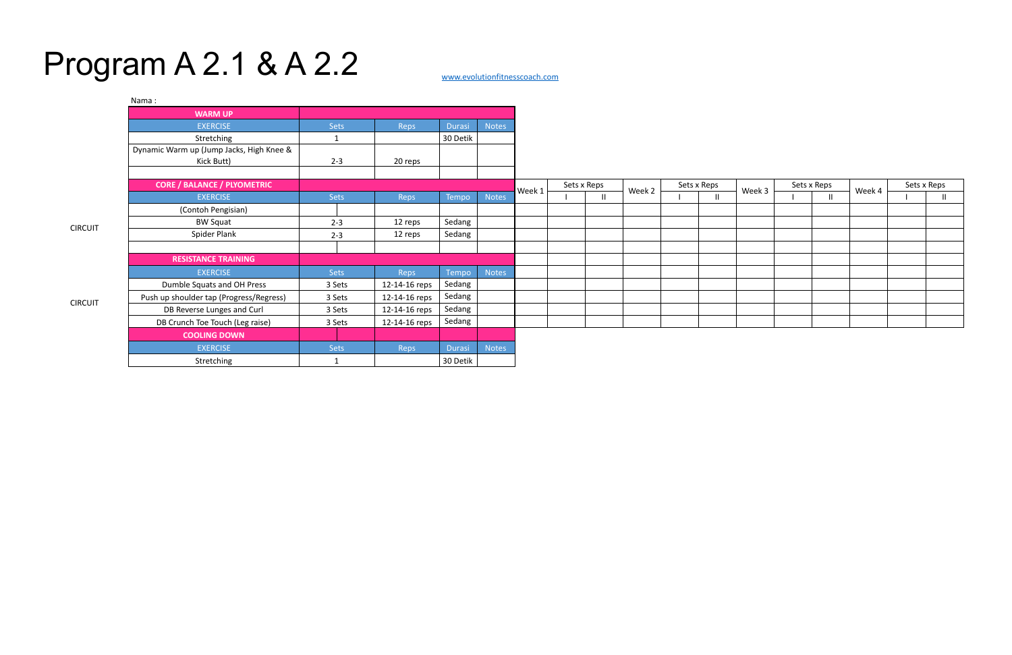## Program A 2.1 & A 2.2

CIRCUIT

| Nama:                                    |             |               |               |       |        |             |              |        |             |  |        |             |              |        |             |               |
|------------------------------------------|-------------|---------------|---------------|-------|--------|-------------|--------------|--------|-------------|--|--------|-------------|--------------|--------|-------------|---------------|
| <b>WARM UP</b>                           |             |               |               |       |        |             |              |        |             |  |        |             |              |        |             |               |
| <b>EXERCISE</b>                          | <b>Sets</b> | Reps          | <b>Durasi</b> | Notes |        |             |              |        |             |  |        |             |              |        |             |               |
| Stretching                               | 1           |               | 30 Detik      |       |        |             |              |        |             |  |        |             |              |        |             |               |
| Dynamic Warm up (Jump Jacks, High Knee & |             |               |               |       |        |             |              |        |             |  |        |             |              |        |             |               |
| Kick Butt)                               | $2 - 3$     | 20 reps       |               |       |        |             |              |        |             |  |        |             |              |        |             |               |
| <b>CORE / BALANCE / PLYOMETRIC</b>       |             |               |               |       |        | Sets x Reps |              |        | Sets x Reps |  |        | Sets x Reps |              | Week 4 | Sets x Reps |               |
| <b>EXERCISE</b>                          | <b>Sets</b> | Reps          | Tempo         | Notes | Week 1 |             | $\mathbf{I}$ | Week 2 |             |  | Week 3 |             | $\mathbf{H}$ |        |             | $\mathbf{II}$ |
| (Contoh Pengisian)                       |             |               |               |       |        |             |              |        |             |  |        |             |              |        |             |               |
| <b>BW Squat</b>                          | $2 - 3$     | 12 reps       | Sedang        |       |        |             |              |        |             |  |        |             |              |        |             |               |
| Spider Plank                             | $2 - 3$     | 12 reps       | Sedang        |       |        |             |              |        |             |  |        |             |              |        |             |               |
|                                          |             |               |               |       |        |             |              |        |             |  |        |             |              |        |             |               |
| <b>RESISTANCE TRAINING</b>               |             |               |               |       |        |             |              |        |             |  |        |             |              |        |             |               |
| <b>EXERCISE</b>                          | <b>Sets</b> | Reps          | Tempo         | Notes |        |             |              |        |             |  |        |             |              |        |             |               |
| Dumble Squats and OH Press               | 3 Sets      | 12-14-16 reps | Sedang        |       |        |             |              |        |             |  |        |             |              |        |             |               |
| Push up shoulder tap (Progress/Regress)  | 3 Sets      | 12-14-16 reps | Sedang        |       |        |             |              |        |             |  |        |             |              |        |             |               |
| DB Reverse Lunges and Curl               | 3 Sets      | 12-14-16 reps | Sedang        |       |        |             |              |        |             |  |        |             |              |        |             |               |
| DB Crunch Toe Touch (Leg raise)          | 3 Sets      | 12-14-16 reps | Sedang        |       |        |             |              |        |             |  |        |             |              |        |             |               |
| <b>COOLING DOWN</b>                      |             |               |               |       |        |             |              |        |             |  |        |             |              |        |             |               |
| <b>EXERCISE</b>                          | Sets        | Reps          | <b>Durasi</b> | Notes |        |             |              |        |             |  |        |             |              |        |             |               |
| Stretching                               |             |               | 30 Detik      |       |        |             |              |        |             |  |        |             |              |        |             |               |

CIRCUIT